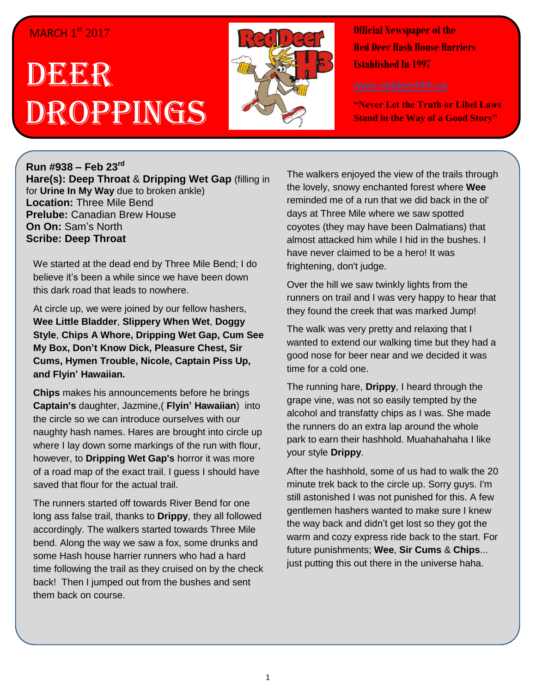## MARCH 1<sup>st</sup> 2017

## DEERR Droppings



**Official Newspaper of the Red Deer Hash House Harriers Established In 1997** 

**"Never Let the Truth or Libel Laws Stand in the Way of a Good Story"**

## **Run #938 – Feb 23 rd**

**Hare(s): Deep Throat** & **Dripping Wet Gap** (filling in for **Urine In My Way** due to broken ankle) **Location:** Three Mile Bend **Prelube:** Canadian Brew House **On On:** Sam's North **Scribe: Deep Throat**

We started at the dead end by Three Mile Bend; I do believe it's been a while since we have been down this dark road that leads to nowhere.

At circle up, we were joined by our fellow hashers, **Wee Little Bladder**, **Slippery When Wet**, **Doggy Style**, **Chips A Whore, Dripping Wet Gap, Cum See My Box, Don't Know Dick, Pleasure Chest, Sir Cums, Hymen Trouble, Nicole, Captain Piss Up, and Flyin' Hawaiian.**

**Chips** makes his announcements before he brings **Captain's** daughter, Jazmine,( **Flyin' Hawaiian**) into the circle so we can introduce ourselves with our naughty hash names. Hares are brought into circle up where I lay down some markings of the run with flour, however, to **Dripping Wet Gap's** horror it was more of a road map of the exact trail. I guess I should have saved that flour for the actual trail.

The runners started off towards River Bend for one long ass false trail, thanks to **Drippy**, they all followed accordingly. The walkers started towards Three Mile bend. Along the way we saw a fox, some drunks and some Hash house harrier runners who had a hard time following the trail as they cruised on by the check back! Then I jumped out from the bushes and sent them back on course.

The walkers enjoyed the view of the trails through the lovely, snowy enchanted forest where **Wee** reminded me of a run that we did back in the ol' days at Three Mile where we saw spotted coyotes (they may have been Dalmatians) that almost attacked him while I hid in the bushes. I have never claimed to be a hero! It was frightening, don't judge.

Over the hill we saw twinkly lights from the runners on trail and I was very happy to hear that they found the creek that was marked Jump!

The walk was very pretty and relaxing that I wanted to extend our walking time but they had a good nose for beer near and we decided it was time for a cold one.

The running hare, **Drippy**, I heard through the grape vine, was not so easily tempted by the alcohol and transfatty chips as I was. She made the runners do an extra lap around the whole park to earn their hashhold. Muahahahaha I like your style **Drippy**.

After the hashhold, some of us had to walk the 20 minute trek back to the circle up. Sorry guys. I'm still astonished I was not punished for this. A few gentlemen hashers wanted to make sure I knew the way back and didn't get lost so they got the warm and cozy express ride back to the start. For future punishments; **Wee**, **Sir Cums** & **Chips**... just putting this out there in the universe haha.